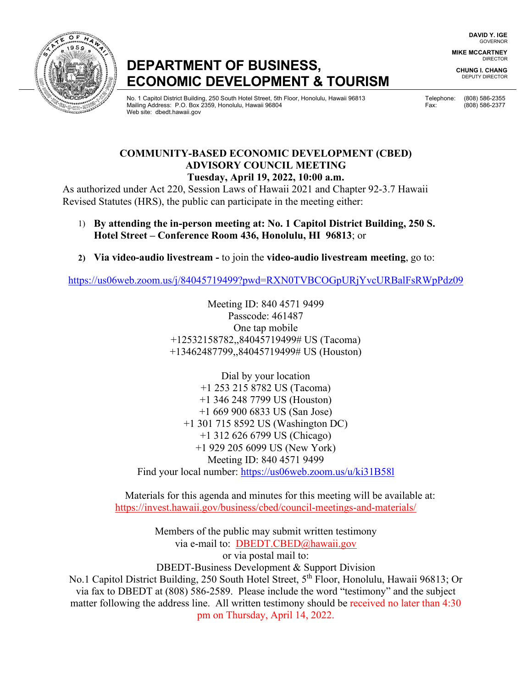# **DEPARTMENT OF BUSINESS, ECONOMIC DEVELOPMENT & TOURISM**

المستحدة المستحدة المستحدة المستحدة المستحدة المستحدة المستحدة المستحدة المستحدة المستحدة المستحدة المستحدة المستحدة لَّهُ الْمَرْدِيَّةُ Mailing Address: P.O. Box 2359, Honolulu, Hawaii 96804 Fax: (808) 586-2377 Fax: (808) 586-2377 Web site: dbedt.hawaii.gov

**DAVID Y. IGE** GOVERNOR

**MIKE MCCARTNEY** DIRECTOR

**CHUNG I. CHANG** DEPUTY DIRECTOR

# **COMMUNITY-BASED ECONOMIC DEVELOPMENT (CBED) ADVISORY COUNCIL MEETING Tuesday, April 19, 2022, 10:00 a.m.**

As authorized under Act 220, Session Laws of Hawaii 2021 and Chapter 92-3.7 Hawaii Revised Statutes (HRS), the public can participate in the meeting either:

- 1) **By attending the in-person meeting at: No. 1 Capitol District Building, 250 S. Hotel Street – Conference Room 436, Honolulu, HI 96813**; or
- **2) Via video-audio livestream** to join the **video-audio livestream meeting**, go to:

<https://us06web.zoom.us/j/84045719499?pwd=RXN0TVBCOGpURjYvcURBalFsRWpPdz09>

Meeting ID: 840 4571 9499 Passcode: 461487 One tap mobile +12532158782,,84045719499# US (Tacoma) +13462487799,,84045719499# US (Houston)

Dial by your location +1 253 215 8782 US (Tacoma) +1 346 248 7799 US (Houston) +1 669 900 6833 US (San Jose) +1 301 715 8592 US (Washington DC) +1 312 626 6799 US (Chicago) +1 929 205 6099 US (New York) Meeting ID: 840 4571 9499 Find your local number:<https://us06web.zoom.us/u/ki31B58l>

Materials for this agenda and minutes for this meeting will be available at: https://invest.hawaii.gov/business/cbed/council-meetings-and-materials/

Members of the public may submit written testimony via e-mail to: DBEDT.CBED@hawaii.gov or via postal mail to: DBEDT-Business Development & Support Division No.1 Capitol District Building, 250 South Hotel Street, 5<sup>th</sup> Floor, Honolulu, Hawaii 96813; Or via fax to DBEDT at (808) 586-2589. Please include the word "testimony" and the subject

matter following the address line. All written testimony should be received no later than 4:30 pm on Thursday, April 14, 2022.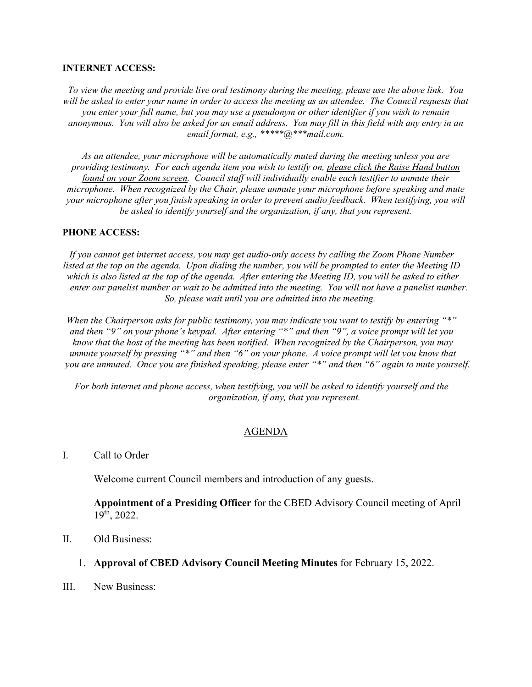#### **INTERNET ACCESS:**

*To view the meeting and provide live oral testimony during the meeting, please use the above link. You*  will be asked to enter your name in order to access the meeting as an attendee. The Council requests that *you enter your full name, but you may use a pseudonym or other identifier if you wish to remain anonymous. You will also be asked for an email address. You may fill in this field with any entry in an email format, e.g., \*\*\*\*\*@\*\*\*mail.com.* 

*As an attendee, your microphone will be automatically muted during the meeting unless you are providing testimony. For each agenda item you wish to testify on, please click the Raise Hand button found on your Zoom screen. Council staff will individually enable each testifier to unmute their microphone. When recognized by the Chair, please unmute your microphone before speaking and mute your microphone after you finish speaking in order to prevent audio feedback. When testifying, you will be asked to identify yourself and the organization, if any, that you represent.* 

#### **PHONE ACCESS:**

*If you cannot get internet access, you may get audio-only access by calling the Zoom Phone Number listed at the top on the agenda. Upon dialing the number, you will be prompted to enter the Meeting ID which is also listed at the top of the agenda. After entering the Meeting ID, you will be asked to either enter our panelist number or wait to be admitted into the meeting. You will not have a panelist number. So, please wait until you are admitted into the meeting.*

*When the Chairperson asks for public testimony, you may indicate you want to testify by entering "\*" and then "9" on your phone's keypad. After entering "\*" and then "9", a voice prompt will let you know that the host of the meeting has been notified. When recognized by the Chairperson, you may unmute yourself by pressing "\*" and then "6" on your phone. A voice prompt will let you know that you are unmuted. Once you are finished speaking, please enter "\*" and then "6" again to mute yourself.*

*For both internet and phone access, when testifying, you will be asked to identify yourself and the organization, if any, that you represent.* 

### AGENDA

## I. Call to Order

Welcome current Council members and introduction of any guests.

**Appointment of a Presiding Officer** for the CBED Advisory Council meeting of April 19th, 2022.

- II. Old Business:
	- 1. **Approval of CBED Advisory Council Meeting Minutes** for February 15, 2022.
- III. New Business: